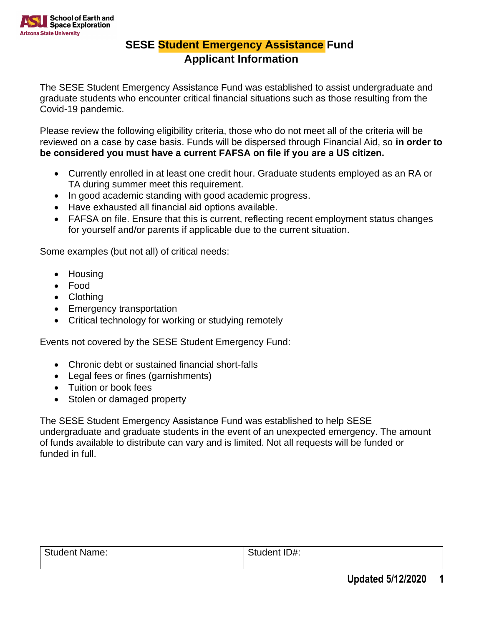

## **SESE Student Emergency Assistance Fund Applicant Information**

The SESE Student Emergency Assistance Fund was established to assist undergraduate and graduate students who encounter critical financial situations such as those resulting from the Covid-19 pandemic.

Please review the following eligibility criteria, those who do not meet all of the criteria will be reviewed on a case by case basis. Funds will be dispersed through Financial Aid, so **in order to be considered you must have a current FAFSA on file if you are a US citizen.** 

- Currently enrolled in at least one credit hour. Graduate students employed as an RA or TA during summer meet this requirement.
- In good academic standing with good academic progress.
- Have exhausted all financial aid options available.
- FAFSA on file. Ensure that this is current, reflecting recent employment status changes for yourself and/or parents if applicable due to the current situation.

Some examples (but not all) of critical needs:

- Housing
- Food
- Clothing
- Emergency transportation
- Critical technology for working or studying remotely

Events not covered by the SESE Student Emergency Fund:

- Chronic debt or sustained financial short-falls
- Legal fees or fines (garnishments)
- Tuition or book fees
- Stolen or damaged property

The SESE Student Emergency Assistance Fund was established to help SESE undergraduate and graduate students in the event of an unexpected emergency. The amount of funds available to distribute can vary and is limited. Not all requests will be funded or funded in full.

| <b>Student Name:</b> | Student ID#: |
|----------------------|--------------|
|                      |              |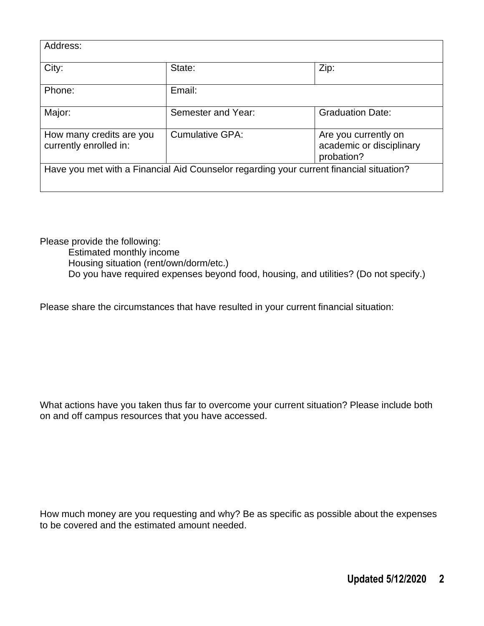| Address:                                                                                |                        |                                                                |  |
|-----------------------------------------------------------------------------------------|------------------------|----------------------------------------------------------------|--|
| City:                                                                                   | State:                 | Zip:                                                           |  |
| Phone:                                                                                  | Email:                 |                                                                |  |
| Major:                                                                                  | Semester and Year:     | <b>Graduation Date:</b>                                        |  |
| How many credits are you<br>currently enrolled in:                                      | <b>Cumulative GPA:</b> | Are you currently on<br>academic or disciplinary<br>probation? |  |
| Have you met with a Financial Aid Counselor regarding your current financial situation? |                        |                                                                |  |

Please provide the following:

Estimated monthly income

Housing situation (rent/own/dorm/etc.)

Do you have required expenses beyond food, housing, and utilities? (Do not specify.)

Please share the circumstances that have resulted in your current financial situation:

What actions have you taken thus far to overcome your current situation? Please include both on and off campus resources that you have accessed.

How much money are you requesting and why? Be as specific as possible about the expenses to be covered and the estimated amount needed.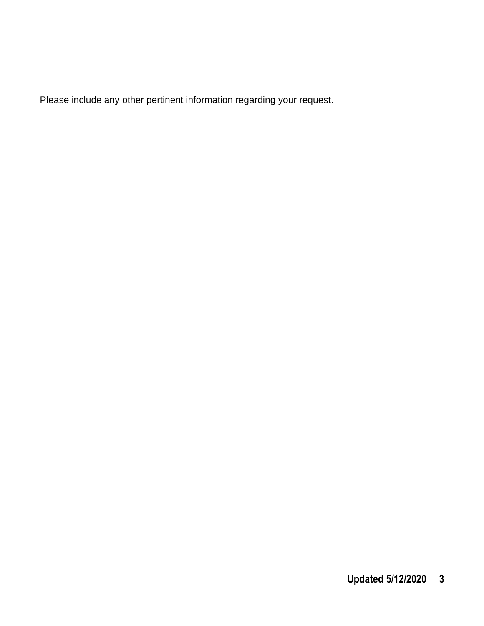Please include any other pertinent information regarding your request.